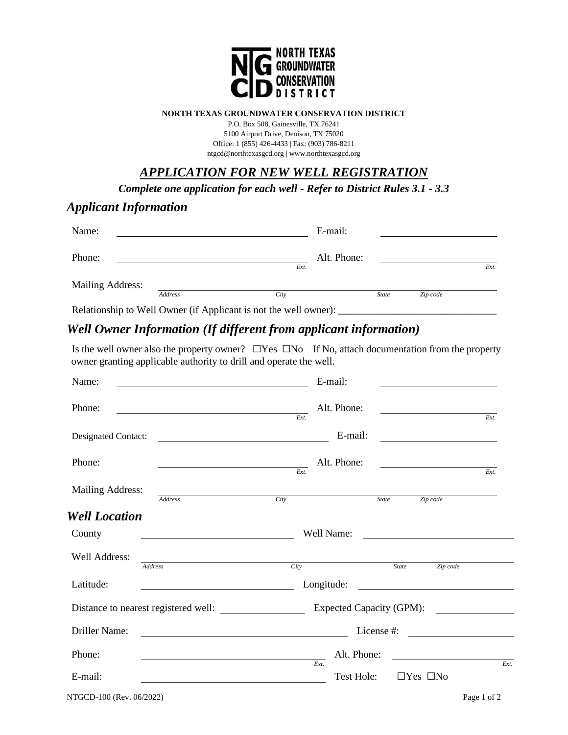

#### **NORTH TEXAS GROUNDWATER CONSERVATION DISTRICT**

P.O. Box 508, Gainesville, TX 76241 5100 Airport Drive, Denison, TX 75020 Office: 1 (855) 426-4433 | Fax: (903) 786-8211 [ntgcd@northtexasgcd.org](mailto:ntgcd@northtexasgcd.org) [| www.northtexasgcd.org](http://www.northtexasgcd.org/)

# *APPLICATION FOR NEW WELL REGISTRATION*

*Complete one application for each well - Refer to District Rules 3.1 - 3.3* 

### *Applicant Information*

| Name:            |                |                                                                  | E-mail:      |          |      |
|------------------|----------------|------------------------------------------------------------------|--------------|----------|------|
| Phone:           |                | Ext.                                                             | Alt. Phone:  |          | Ext. |
| Mailing Address: | <b>Address</b> | City                                                             | <b>State</b> | Zip code |      |
|                  |                | Relationship to Well Owner (if Applicant is not the well owner): |              |          |      |

# *Well Owner Information (If different from applicant information)*

Is the well owner also the property owner? ☐Yes ☐No If No, attach documentation from the property owner granting applicable authority to drill and operate the well.

| Name:                    |                                                                                                                                                                                                                                      |            | E-mail:                  |                                                                                                                       |                    |
|--------------------------|--------------------------------------------------------------------------------------------------------------------------------------------------------------------------------------------------------------------------------------|------------|--------------------------|-----------------------------------------------------------------------------------------------------------------------|--------------------|
| Phone:                   |                                                                                                                                                                                                                                      | Ext.       | Alt. Phone:              | <u> 1989 - Jan Stein Stein Stein Stein Stein Stein Stein Stein Stein Stein Stein Stein Stein Stein Stein Stein S</u>  | $\overline{Ext}$ . |
| Designated Contact:      | <u>and the state of the state of the state of the state of the state of the state of the state of the state of the state of the state of the state of the state of the state of the state of the state of the state of the state</u> |            | E-mail:                  | <u> 1980 - Johann Stoff, fransk politik (d. 19</u>                                                                    |                    |
| Phone:                   | <u> Alexandria de la contrada de la con</u> tra                                                                                                                                                                                      | Ext.       | Alt. Phone:              |                                                                                                                       | $\overline{Ext}$ . |
| Mailing Address:         | <b>Address</b>                                                                                                                                                                                                                       | City       | <b>State</b>             | Zip code                                                                                                              |                    |
| <b>Well Location</b>     |                                                                                                                                                                                                                                      |            |                          |                                                                                                                       |                    |
| County                   |                                                                                                                                                                                                                                      | Well Name: |                          | <u> 1989 - Jan Stein Stein Stein Stein Stein Stein Stein Stein Stein Stein Stein Stein Stein Stein Stein Stein St</u> |                    |
| Well Address:            | <b>Address</b>                                                                                                                                                                                                                       | City       | <b>State</b>             | Zip code                                                                                                              |                    |
| Latitude:                |                                                                                                                                                                                                                                      | Longitude: |                          | <u> 1989 - Andrea Stadt Britain, fransk politik (</u>                                                                 |                    |
|                          |                                                                                                                                                                                                                                      |            | Expected Capacity (GPM): |                                                                                                                       |                    |
| Driller Name:            |                                                                                                                                                                                                                                      |            | License #:               |                                                                                                                       |                    |
| Phone:                   |                                                                                                                                                                                                                                      |            | Alt. Phone:              |                                                                                                                       |                    |
| E-mail:                  |                                                                                                                                                                                                                                      | Ext.       | Test Hole:               | $\Box$ Yes $\Box$ No                                                                                                  | Ext.               |
| NTGCD-100 (Rev. 06/2022) |                                                                                                                                                                                                                                      |            |                          |                                                                                                                       | Page 1 of 2        |